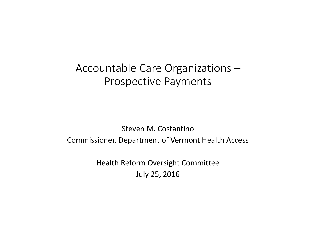# Accountable Care Organizations – Prospective Payments

#### Steven M. Costantino Commissioner, Department of Vermont Health Access

Health Reform Oversight Committee July 25, 2016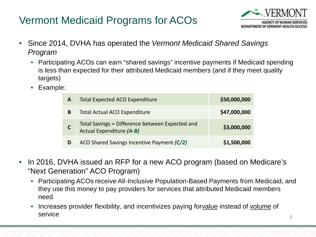# Vermont Medicaid Programs for ACOs



- Since 2014, DVHA has operated the *Vermont Medicaid Shared Savings Program*
	- Participating ACOs can earn "shared savings" incentive payments if Medicaid spending is less than expected for their attributed Medicaid members (and if they meet quality targets)
	- Example:

| A | <b>Total Expected ACO Expenditure</b>                                              | \$50,000,000 |
|---|------------------------------------------------------------------------------------|--------------|
| B | <b>Total Actual ACO Expenditure</b>                                                | \$47,000,000 |
| C | Total Savings = Difference between Expected and<br><b>Actual Expenditure (A-B)</b> | \$3,000,000  |
|   | ACO Shared Savings Incentive Payment (C/2)                                         | \$1,500,000  |

- In 2016, DVHA issued an RFP for a new ACO program (based on Medicare's "Next Generation" ACO Program)
	- Participating ACOs receive All-Inclusive Population-Based Payments from Medicaid, and they use this money to pay providers for services that attributed Medicaid members need
	- Increases provider flexibility, and incentivizes paying forvalue instead of volume of service **2**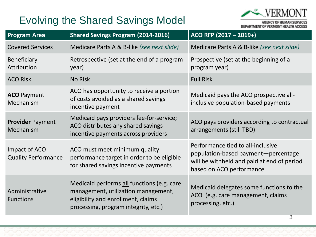# Evolving the Shared Savings Model



DEPARTMENT OF VERMONT HEALTH ACCESS

| <b>Program Area</b>                         | <b>Shared Savings Program (2014-2016)</b>                                                                                                                       | ACO RFP (2017 - 2019+)                                                                                                                             |
|---------------------------------------------|-----------------------------------------------------------------------------------------------------------------------------------------------------------------|----------------------------------------------------------------------------------------------------------------------------------------------------|
| <b>Covered Services</b>                     | Medicare Parts A & B-like (see next slide)                                                                                                                      | Medicare Parts A & B-like (see next slide)                                                                                                         |
| <b>Beneficiary</b><br><b>Attribution</b>    | Retrospective (set at the end of a program<br>year)                                                                                                             | Prospective (set at the beginning of a<br>program year)                                                                                            |
| <b>ACO Risk</b>                             | <b>No Risk</b>                                                                                                                                                  | <b>Full Risk</b>                                                                                                                                   |
| <b>ACO</b> Payment<br>Mechanism             | ACO has opportunity to receive a portion<br>of costs avoided as a shared savings<br>incentive payment                                                           | Medicaid pays the ACO prospective all-<br>inclusive population-based payments                                                                      |
| <b>Provider Payment</b><br>Mechanism        | Medicaid pays providers fee-for-service;<br>ACO distributes any shared savings<br>incentive payments across providers                                           | ACO pays providers according to contractual<br>arrangements (still TBD)                                                                            |
| Impact of ACO<br><b>Quality Performance</b> | ACO must meet minimum quality<br>performance target in order to be eligible<br>for shared savings incentive payments                                            | Performance tied to all-inclusive<br>population-based payment-percentage<br>will be withheld and paid at end of period<br>based on ACO performance |
| Administrative<br><b>Functions</b>          | Medicaid performs all functions (e.g. care<br>management, utilization management,<br>eligibility and enrollment, claims<br>processing, program integrity, etc.) | Medicaid delegates some functions to the<br>ACO (e.g. care management, claims<br>processing, etc.)                                                 |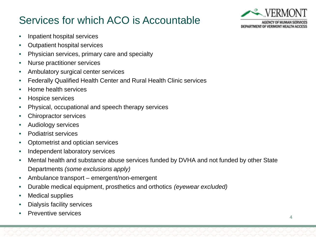# Services for which ACO is Accountable



- Inpatient hospital services
- Outpatient hospital services
- Physician services, primary care and specialty
- Nurse practitioner services
- Ambulatory surgical center services
- Federally Qualified Health Center and Rural Health Clinic services
- Home health services
- Hospice services
- Physical, occupational and speech therapy services
- Chiropractor services
- Audiology services
- Podiatrist services
- Optometrist and optician services
- Independent laboratory services
- Mental health and substance abuse services funded by DVHA and not funded by other State Departments *(some exclusions apply)*
- Ambulance transport emergent/non-emergent
- Durable medical equipment, prosthetics and orthotics *(eyewear excluded)*
- Medical supplies
- Dialysis facility services
- Preventive services **<sup>4</sup>**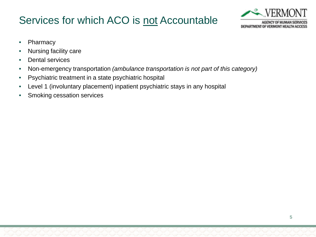# Services for which ACO is not Accountable



- Pharmacy
- Nursing facility care
- Dental services
- Non-emergency transportation *(ambulance transportation is not part of this category)*
- Psychiatric treatment in a state psychiatric hospital
- Level 1 (involuntary placement) inpatient psychiatric stays in any hospital
- Smoking cessation services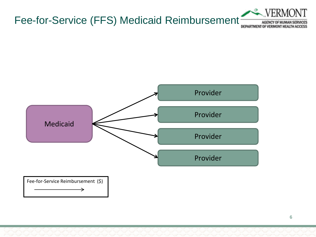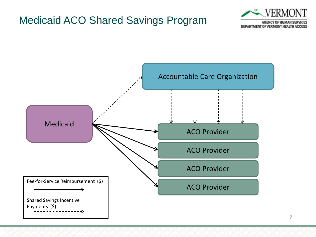#### Medicaid ACO Shared Savings Program



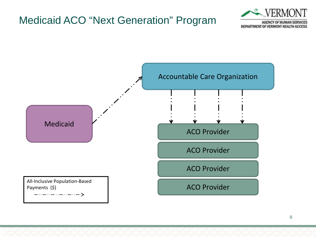### Medicaid ACO "Next Generation" Program